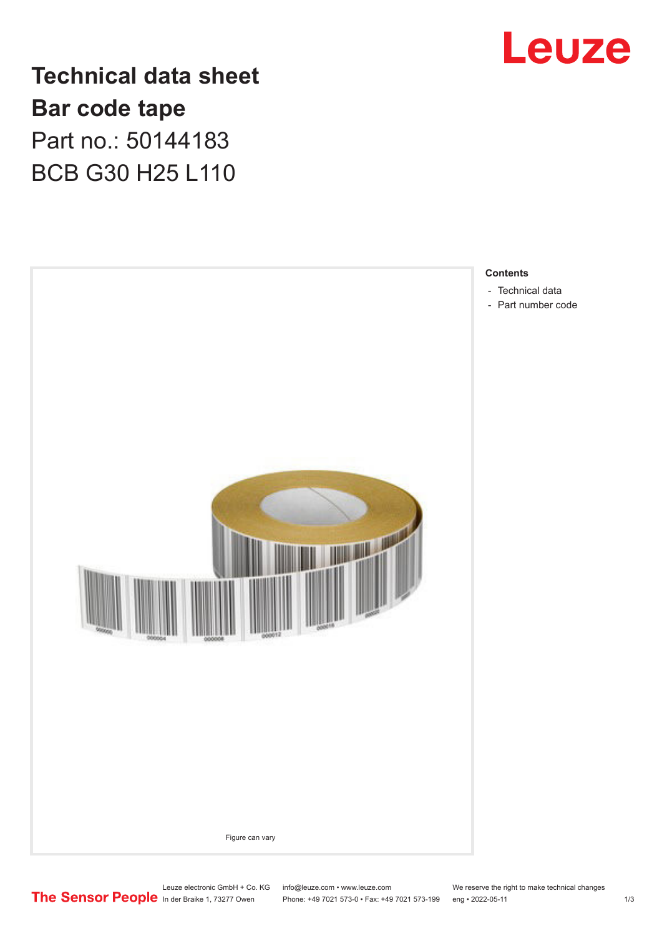

**Technical data sheet Bar code tape** Part no.: 50144183 BCB G30 H25 L110



Leuze electronic GmbH + Co. KG info@leuze.com • www.leuze.com We reserve the right to make technical changes<br>
The Sensor People in der Braike 1, 73277 Owen Phone: +49 7021 573-0 • Fax: +49 7021 573-199 eng • 2022-05-11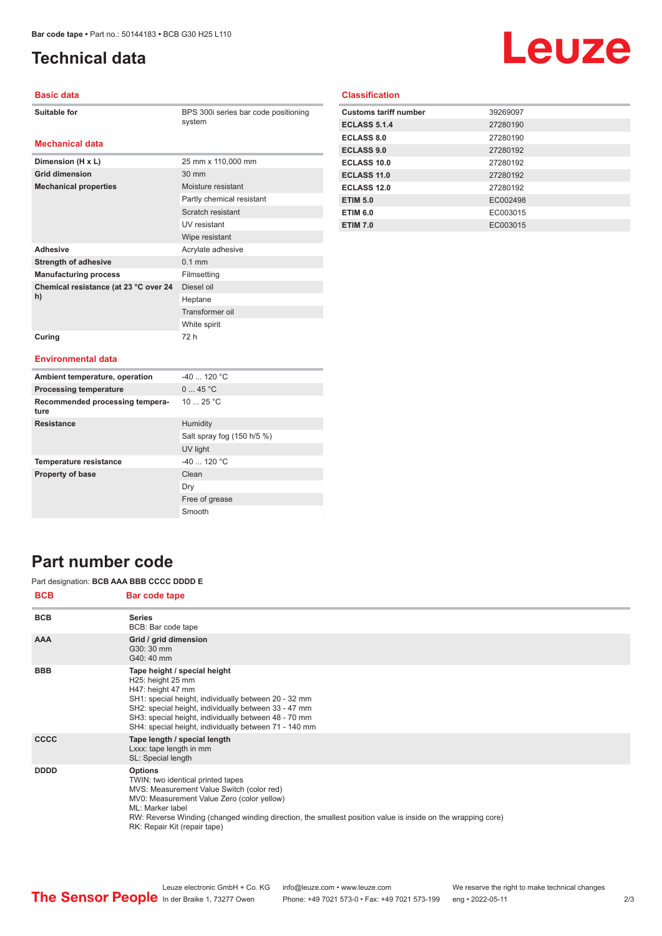# <span id="page-1-0"></span>**Technical data**

# Leuze

#### **Basic data**

BPS 300i series bar code positioning system

#### **Mechanical data**

| Dimension (H x L)                           | 25 mm x 110,000 mm        |
|---------------------------------------------|---------------------------|
| <b>Grid dimension</b>                       | $30 \text{ mm}$           |
| <b>Mechanical properties</b>                | Moisture resistant        |
|                                             | Partly chemical resistant |
|                                             | Scratch resistant         |
|                                             | UV resistant              |
|                                             | Wipe resistant            |
| <b>Adhesive</b>                             | Acrylate adhesive         |
| <b>Strength of adhesive</b>                 | $0.1$ mm                  |
| <b>Manufacturing process</b>                | Filmsetting               |
| Chemical resistance (at 23 °C over 24<br>h) | Diesel oil                |
|                                             | Heptane                   |
|                                             | Transformer oil           |
|                                             | White spirit              |
| Curing                                      | 72 h                      |

#### **Classification**

| <b>Customs tariff number</b> | 39269097 |
|------------------------------|----------|
| <b>ECLASS 5.1.4</b>          | 27280190 |
| <b>ECLASS 8.0</b>            | 27280190 |
| <b>ECLASS 9.0</b>            | 27280192 |
| ECLASS 10.0                  | 27280192 |
| ECLASS 11.0                  | 27280192 |
| ECLASS 12.0                  | 27280192 |
| <b>ETIM 5.0</b>              | EC002498 |
| <b>ETIM 6.0</b>              | EC003015 |
| <b>ETIM 7.0</b>              | EC003015 |

#### **Environmental data**

| Ambient temperature, operation          | $-40$ 120 °C               |
|-----------------------------------------|----------------------------|
| <b>Processing temperature</b>           | 045 °C                     |
| Recommended processing tempera-<br>ture | 10 $25 °C$                 |
| <b>Resistance</b>                       | Humidity                   |
|                                         | Salt spray fog (150 h/5 %) |
|                                         | UV light                   |
| <b>Temperature resistance</b>           | $-40$ 120 °C               |
| <b>Property of base</b>                 | Clean                      |
|                                         | Dry                        |
|                                         | Free of grease             |
|                                         | Smooth                     |

### **Part number code**

#### Part designation: **BCB AAA BBB CCCC DDDD E**

| <b>BCB</b>  | Bar code tape                                                                                                                                                                                                                                                                                                     |
|-------------|-------------------------------------------------------------------------------------------------------------------------------------------------------------------------------------------------------------------------------------------------------------------------------------------------------------------|
| <b>BCB</b>  | <b>Series</b><br>BCB: Bar code tape                                                                                                                                                                                                                                                                               |
| <b>AAA</b>  | Grid / grid dimension<br>G30: 30 mm<br>G40: 40 mm                                                                                                                                                                                                                                                                 |
| <b>BBB</b>  | Tape height / special height<br>H25: height 25 mm<br>H47: height 47 mm<br>SH1: special height, individually between 20 - 32 mm<br>SH2: special height, individually between 33 - 47 mm<br>SH3: special height, individually between 48 - 70 mm<br>SH4: special height, individually between 71 - 140 mm           |
| <b>CCCC</b> | Tape length / special length<br>Lxxx: tape length in mm<br>SL: Special length                                                                                                                                                                                                                                     |
| <b>DDDD</b> | <b>Options</b><br>TWIN: two identical printed tapes<br>MVS: Measurement Value Switch (color red)<br>MV0: Measurement Value Zero (color yellow)<br>ML: Marker label<br>RW: Reverse Winding (changed winding direction, the smallest position value is inside on the wrapping core)<br>RK: Repair Kit (repair tape) |